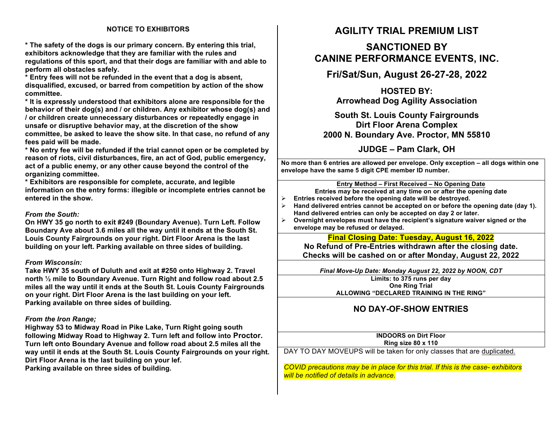## **NOTICE TO EXHIBITORS**

**\* The safety of the dogs is our primary concern. By entering this trial, exhibitors acknowledge that they are familiar with the rules and regulations of this sport, and that their dogs are familiar with and able to perform all obstacles safely.**

**\* Entry fees will not be refunded in the event that a dog is absent, disqualified, excused, or barred from competition by action of the show committee.** 

**\* It is expressly understood that exhibitors alone are responsible for the behavior of their dog(s) and / or children. Any exhibitor whose dog(s) and / or children create unnecessary disturbances or repeatedly engage in unsafe or disruptive behavior may, at the discretion of the show committee, be asked to leave the show site. In that case, no refund of any fees paid will be made.**

**\* No entry fee will be refunded if the trial cannot open or be completed by reason of riots, civil disturbances, fire, an act of God, public emergency, act of a public enemy, or any other cause beyond the control of the organizing committee.**

**\* Exhibitors are responsible for complete, accurate, and legible information on the entry forms: illegible or incomplete entries cannot be entered in the show.**

### *From the South:*

**On HWY 35 go north to exit #249 (Boundary Avenue). Turn Left. Follow Boundary Ave about 3.6 miles all the way until it ends at the South St. Louis County Fairgrounds on your right. Dirt Floor Arena is the last building on your left. Parking available on three sides of building.**

### *From Wisconsin:*

**Take HWY 35 south of Duluth and exit at #250 onto Highway 2. Travel north ½ mile to Boundary Avenue. Turn Right and follow road about 2.5 miles all the way until it ends at the South St. Louis County Fairgrounds on your right. Dirt Floor Arena is the last building on your left. Parking available on three sides of building***.*

### *From the Iron Range;*

**Highway 53 to Midway Road in Pike Lake, Turn Right going south following Midway Road to Highway 2. Turn left and follow into Proctor. Turn left onto Boundary Avenue and follow road about 2.5 miles all the way until it ends at the South St. Louis County Fairgrounds on your right. Dirt Floor Arena is the last building on your lef.**

**Parking available on three sides of building***.*

## **AGILITY TRIAL PREMIUM LIST**

# **SANCTIONED BY CANINE PERFORMANCE EVENTS, INC.**

**Fri/Sat/Sun, August 26-27-28, 2022**

**HOSTED BY: Arrowhead Dog Agility Association** 

**South St. Louis County Fairgrounds Dirt Floor Arena Complex 2000 N. Boundary Ave. Proctor, MN 55810**

**JUDGE – Pam Clark, OH**

**No more than 6 entries are allowed per envelope. Only exception – all dogs within one envelope have the same 5 digit CPE member ID number.**

### **Entry Method – First Received – No Opening Date**

**Entries may be received at any time on or after the opening date**

- Ø **Entries received before the opening date will be destroyed.**
- Hand delivered entries cannot be accepted on or before the opening date (day 1). **Hand delivered entries can only be accepted on day 2 or later.**
- Ø **Overnight envelopes must have the recipient's signature waiver signed or the envelope may be refused or delayed.**

**Final Closing Date: Tuesday, August 16, 2022**

**No Refund of Pre-Entries withdrawn after the closing date. Checks will be cashed on or after Monday, August 22, 2022**

*Final Move-Up Date: Monday August 22, 2022 by NOON, CDT*

**Limits: to 375 runs per day One Ring Trial ALLOWING "DECLARED TRAINING IN THE RING"**

## **NO DAY-OF-SHOW ENTRIES**

**INDOORS on Dirt Floor Ring size 80 x 110**

DAY TO DAY MOVEUPS will be taken for only classes that are duplicated.

*COVID precautions may be in place for this trial. If this is the case- exhibitors will be notified of details in advance.*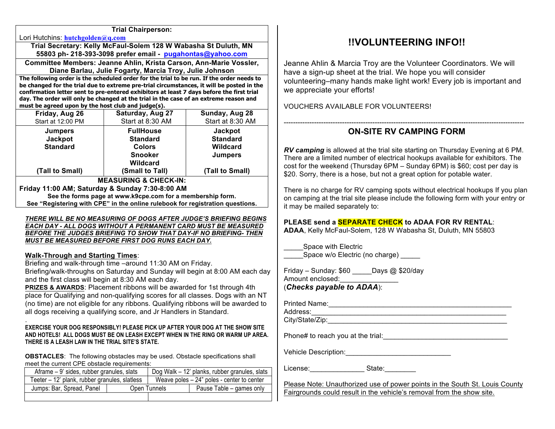### **Trial Chairperson:**

Lori Hutchins: **hutchgolden@q.com** 

**Trial Secretary: Kelly McFaul-Solem 128 W Wabasha St Duluth, MN 55803 ph- 218-393-3098 prefer email - pugahontas@yahoo.com**

**Committee Members: Jeanne Ahlin, Krista Carson, Ann-Marie Vossler, Diane Barlau, Julie Fogarty, Marcia Troy, Julie Johnson**

**The following order is the scheduled order for the trial to be run. If the order needs to be changed for the trial due to extreme pre-trial circumstances, it will be posted in the confirmation letter sent to pre-entered exhibitors at least 7 days before the first trial day. The order will only be changed at the trial in the case of an extreme reason and must be agreed upon by the host club and judge(s).**

| Friday, Aug 26        | Saturday, Aug 27 | Sunday, Aug 28   |  |  |  |
|-----------------------|------------------|------------------|--|--|--|
| Start at 12:00 PM     | Start at 8:30 AM | Start at 8:30 AM |  |  |  |
| <b>Jumpers</b>        | <b>FullHouse</b> | <b>Jackpot</b>   |  |  |  |
| Jackpot               | <b>Standard</b>  | <b>Standard</b>  |  |  |  |
| <b>Standard</b>       | <b>Colors</b>    | Wildcard         |  |  |  |
|                       | <b>Snooker</b>   | <b>Jumpers</b>   |  |  |  |
|                       | <b>Wildcard</b>  |                  |  |  |  |
| (Tall to Small)       | (Small to Tall)  | (Tall to Small)  |  |  |  |
| MEACHDING & CUECK ING |                  |                  |  |  |  |

**MEASURING & CHECK-IN: Friday 11:00 AM; Saturday & Sunday 7:30-8:00 AM See the forms page at www.k9cpe.com for a membership form. See "Registering with CPE" in the online rulebook for registration questions.**

#### *THERE WILL BE NO MEASURING OF DOGS AFTER JUDGE'S BRIEFING BEGINS EACH DAY - ALL DOGS WITHOUT A PERMANENT CARD MUST BE MEASURED BEFORE THE JUDGES BRIEFING TO SHOW THAT DAY-IF NO BRIEFING- THEN MUST BE MEASURED BEFORE FIRST DOG RUNS EACH DAY.*

### **Walk-Through and Starting Times**:

.

Briefing and walk-through time –around 11:30 AM on Friday. Briefing/walk-throughs on Saturday and Sunday will begin at 8:00 AM each day

and the first class will begin at 8:30 AM each day.

**PRIZES & AWARDS**: Placement ribbons will be awarded for 1st through 4th place for Qualifying and non-qualifying scores for all classes. Dogs with an NT (no time) are not eligible for any ribbons. Qualifying ribbons will be awarded to all dogs receiving a qualifying score, and Jr Handlers in Standard.

### **EXERCISE YOUR DOG RESPONSIBLY! PLEASE PICK UP AFTER YOUR DOG AT THE SHOW SITE AND HOTELS! ALL DOGS MUST BE ON LEASH EXCEPT WHEN IN THE RING OR WARM UP AREA. THERE IS A LEASH LAW IN THE TRIAL SITE'S STATE.**

**OBSTACLES**: The following obstacles may be used. Obstacle specifications shall meet the current CPE obstacle requirements:

| Aframe – 9' sides, rubber granules, slats     |              | Dog Walk – 12' planks, rubber granules, slats |                          |
|-----------------------------------------------|--------------|-----------------------------------------------|--------------------------|
| Teeter – 12' plank, rubber granules, slatless |              | Weave poles $-24$ " poles - center to center  |                          |
| Jumps: Bar, Spread, Panel                     | Open Tunnels |                                               | Pause Table – games only |
|                                               |              |                                               |                          |

## **!!VOLUNTEERING INFO!!**

Jeanne Ahlin & Marcia Troy are the Volunteer Coordinators. We will have a sign-up sheet at the trial. We hope you will consider volunteering–many hands make light work! Every job is important and we appreciate your efforts!

VOUCHERS AVAILABLE FOR VOLUNTEERS!

## ------------------------------------------------------------------------------------------------------- **ON-SITE RV CAMPING FORM**

*RV camping* is allowed at the trial site starting on Thursday Evening at 6 PM. There are a limited number of electrical hookups available for exhibitors. The cost for the weekend (Thursday 6PM – Sunday 6PM) is \$60; cost per day is \$20. Sorry, there is a hose, but not a great option for potable water.

There is no charge for RV camping spots without electrical hookups If you plan on camping at the trial site please include the following form with your entry or it may be mailed separately to:

## **PLEASE send a SEPARATE CHECK to ADAA FOR RV RENTAL**:

**ADAA**, Kelly McFaul-Solem, 128 W Wabasha St, Duluth, MN 55803

Space with Electric \_ .<br>Space w/o Electric (no charge)

Friday – Sunday: \$60 \_\_\_\_\_Days @ \$20/day Amount enclosed:

## (*Checks payable to ADAA*):

Printed Name:\_\_\_\_\_\_\_\_\_\_\_\_\_\_\_\_\_\_\_\_\_\_\_\_\_\_\_\_\_\_\_\_\_\_\_\_\_\_\_\_\_\_\_\_\_\_\_

Address:\_\_\_\_\_\_\_\_\_\_\_\_\_\_\_\_\_\_\_\_\_\_\_\_\_\_\_\_\_\_\_\_\_\_\_\_\_\_\_\_\_\_\_\_\_\_\_\_\_\_ City/State/Zip:

Phone# to reach you at the trial:

Vehicle Description:\_\_\_\_\_\_\_\_\_\_\_\_\_\_\_\_\_\_\_\_\_\_\_\_\_\_\_

License: et al. State:

Please Note: Unauthorized use of power points in the South St. Louis County Fairgrounds could result in the vehicle's removal from the show site.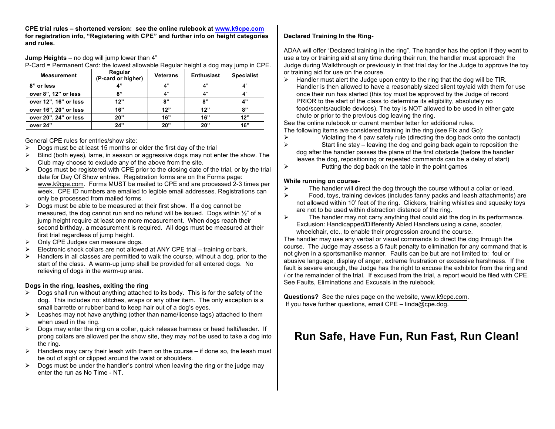**CPE trial rules – shortened version: see the online rulebook at www.k9cpe.com for registration info, "Registering with CPE" and further info on height categories and rules.**

**Jump Heights** – no dog will jump lower than 4"

P-Card = Permanent Card: the lowest allowable Regular height a dog may jump in CPE.

| <b>Measurement</b>    | Regular<br>(P-card or higher) | <b>Veterans</b> | <b>Enthusiast</b> | <b>Specialist</b> |
|-----------------------|-------------------------------|-----------------|-------------------|-------------------|
| 8" or less            | $\mathbf{A}^{11}$             | 4"              | Δ"                | 4"                |
| over 8", 12" or less  | 8"                            | 4"              | 4"                | 4"                |
| over 12", 16" or less | 12"                           | 8"              | 8"                | 4"                |
| over 16", 20" or less | 16"                           | 12"             | 12"               | 8"                |
| over 20", 24" or less | 20"                           | 16"             | 16"               | 12"               |
| over 24"              | 24"                           | 20"             | 20"               | 16"               |

General CPE rules for entries/show site:

- $\triangleright$  Dogs must be at least 15 months or older the first day of the trial
- $\triangleright$  Blind (both eyes), lame, in season or aggressive dogs may not enter the show. The Club may choose to exclude any of the above from the site.
- $\triangleright$  Dogs must be registered with CPE prior to the closing date of the trial, or by the trial date for Day Of Show entries. Registration forms are on the Forms page: www.k9cpe.com. Forms MUST be mailed to CPE and are processed 2-3 times per week. CPE ID numbers are emailed to legible email addresses. Registrations can only be processed from mailed forms.
- $\triangleright$  Dogs must be able to be measured at their first show. If a dog cannot be measured, the dog cannot run and no refund will be issued. Dogs within ½" of a jump height require at least one more measurement. When dogs reach their second birthday, a measurement is required. All dogs must be measured at their first trial regardless of jump height.
- $\triangleright$  Only CPE Judges can measure dogs.
- $\triangleright$  Electronic shock collars are not allowed at ANY CPE trial training or bark.
- Handlers in all classes are permitted to walk the course, without a dog, prior to the start of the class. A warm-up jump shall be provided for all entered dogs. No relieving of dogs in the warm-up area.

### **Dogs in the ring, leashes, exiting the ring**

- $\triangleright$  Dogs shall run without anything attached to its body. This is for the safety of the dog. This includes no: stitches, wraps or any other item. The only exception is a small barrette or rubber band to keep hair out of a dog's eyes.
- $\triangleright$  Leashes may not have anything (other than name/license tags) attached to them when used in the ring.
- $\triangleright$  Dogs may enter the ring on a collar, quick release harness or head halti/leader. If prong collars are allowed per the show site, they may *not* be used to take a dog into the ring.
- $\triangleright$  Handlers may carry their leash with them on the course if done so, the leash must be out of sight or clipped around the waist or shoulders.
- $\triangleright$  Dogs must be under the handler's control when leaving the ring or the judge may enter the run as No Time - NT.

## **Declared Training In the Ring-**

ADAA will offer "Declared training in the ring". The handler has the option if they want to use a toy or training aid at any time during their run, the handler must approach the Judge during Walkthrough or previously in that trial day for the Judge to approve the toy or training aid for use on the course.

 $\triangleright$  Handler must alert the Judge upon entry to the ring that the dog will be TIR. Handler is then allowed to have a reasonably sized silent toy/aid with them for use once their run has started (this toy must be approved by the Judge of record PRIOR to the start of the class to determine its eligibility, absolutely no food/scents/audible devices). The toy is NOT allowed to be used in either gate chute or prior to the previous dog leaving the ring.

See the online rulebook or current member letter for additional rules. The following items *are* considered training in the ring (see Fix and Go):

- $\triangleright$  Violating the 4 paw safety rule (directing the dog back onto the contact)<br>Start line stay leaving the dog and going back again to reposition the
	- Start line stay leaving the dog and going back again to reposition the dog after the handler passes the plane of the first obstacle (before the handler leaves the dog, repositioning or repeated commands can be a delay of start)
- $\triangleright$  Putting the dog back on the table in the point games

### **While running on course-**

- $\triangleright$  The handler will direct the dog through the course without a collar or lead.<br> $\triangleright$  Food, toys, training devices (includes fanny packs and leash attachments)
	- Ø Food, toys, training devices (includes fanny packs and leash attachments) are not allowed within 10' feet of the ring. Clickers, training whistles and squeaky toys are not to be used within distraction distance of the ring.
- $\triangleright$  The handler may not carry anything that could aid the dog in its performance. Exclusion: Handicapped/Differently Abled Handlers using a cane, scooter, wheelchair, etc., to enable their progression around the course.

The handler may use any verbal or visual commands to direct the dog through the course. The Judge may assess a 5 fault penalty to elimination for any command that is not given in a sportsmanlike manner. Faults can be but are not limited to: foul or abusive language, display of anger, extreme frustration or excessive harshness. If the fault is severe enough, the Judge has the right to excuse the exhibitor from the ring and / or the remainder of the trial. If excused from the trial, a report would be filed with CPE. See Faults, Eliminations and Excusals in the rulebook.

**Questions?** See the rules page on the website, www.k9cpe.com. If you have further questions, email CPE – linda@cpe.dog.

# **Run Safe, Have Fun, Run Fast, Run Clean!**